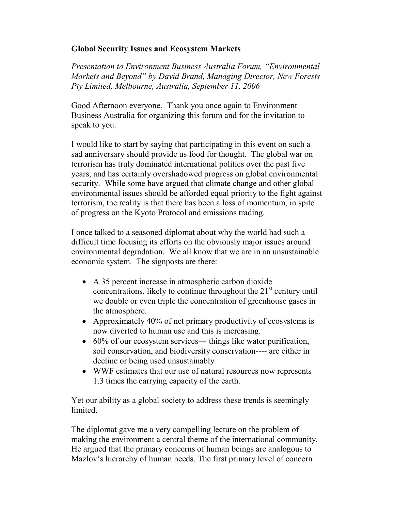## Global Security Issues and Ecosystem Markets

Presentation to Environment Business Australia Forum, "Environmental Markets and Beyond" by David Brand, Managing Director, New Forests Pty Limited, Melbourne, Australia, September 11, 2006

Good Afternoon everyone. Thank you once again to Environment Business Australia for organizing this forum and for the invitation to speak to you.

I would like to start by saying that participating in this event on such a sad anniversary should provide us food for thought. The global war on terrorism has truly dominated international politics over the past five years, and has certainly overshadowed progress on global environmental security. While some have argued that climate change and other global environmental issues should be afforded equal priority to the fight against terrorism, the reality is that there has been a loss of momentum, in spite of progress on the Kyoto Protocol and emissions trading.

I once talked to a seasoned diplomat about why the world had such a difficult time focusing its efforts on the obviously major issues around environmental degradation. We all know that we are in an unsustainable economic system. The signposts are there:

- A 35 percent increase in atmospheric carbon dioxide concentrations, likely to continue throughout the  $21<sup>st</sup>$  century until we double or even triple the concentration of greenhouse gases in the atmosphere.
- Approximately 40% of net primary productivity of ecosystems is now diverted to human use and this is increasing.
- 60% of our ecosystem services--- things like water purification, soil conservation, and biodiversity conservation---- are either in decline or being used unsustainably
- WWF estimates that our use of natural resources now represents 1.3 times the carrying capacity of the earth.

Yet our ability as a global society to address these trends is seemingly limited.

The diplomat gave me a very compelling lecture on the problem of making the environment a central theme of the international community. He argued that the primary concerns of human beings are analogous to Mazlov's hierarchy of human needs. The first primary level of concern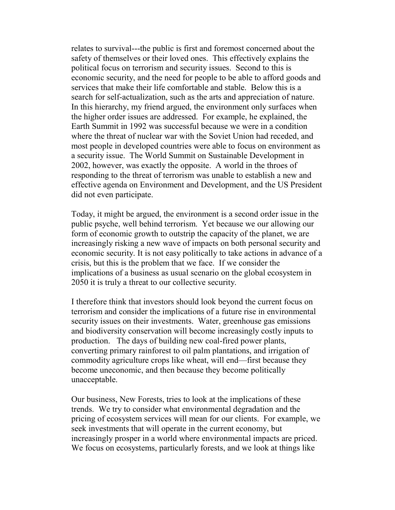relates to survival---the public is first and foremost concerned about the safety of themselves or their loved ones. This effectively explains the political focus on terrorism and security issues. Second to this is economic security, and the need for people to be able to afford goods and services that make their life comfortable and stable. Below this is a search for self-actualization, such as the arts and appreciation of nature. In this hierarchy, my friend argued, the environment only surfaces when the higher order issues are addressed. For example, he explained, the Earth Summit in 1992 was successful because we were in a condition where the threat of nuclear war with the Soviet Union had receded, and most people in developed countries were able to focus on environment as a security issue. The World Summit on Sustainable Development in 2002, however, was exactly the opposite. A world in the throes of responding to the threat of terrorism was unable to establish a new and effective agenda on Environment and Development, and the US President did not even participate.

Today, it might be argued, the environment is a second order issue in the public psyche, well behind terrorism. Yet because we our allowing our form of economic growth to outstrip the capacity of the planet, we are increasingly risking a new wave of impacts on both personal security and economic security. It is not easy politically to take actions in advance of a crisis, but this is the problem that we face. If we consider the implications of a business as usual scenario on the global ecosystem in 2050 it is truly a threat to our collective security.

I therefore think that investors should look beyond the current focus on terrorism and consider the implications of a future rise in environmental security issues on their investments. Water, greenhouse gas emissions and biodiversity conservation will become increasingly costly inputs to production. The days of building new coal-fired power plants, converting primary rainforest to oil palm plantations, and irrigation of commodity agriculture crops like wheat, will end—first because they become uneconomic, and then because they become politically unacceptable.

Our business, New Forests, tries to look at the implications of these trends. We try to consider what environmental degradation and the pricing of ecosystem services will mean for our clients. For example, we seek investments that will operate in the current economy, but increasingly prosper in a world where environmental impacts are priced. We focus on ecosystems, particularly forests, and we look at things like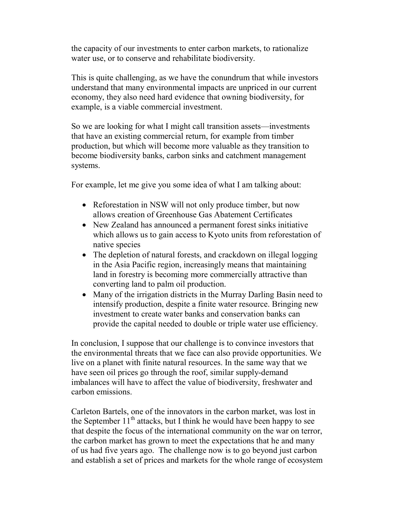the capacity of our investments to enter carbon markets, to rationalize water use, or to conserve and rehabilitate biodiversity.

This is quite challenging, as we have the conundrum that while investors understand that many environmental impacts are unpriced in our current economy, they also need hard evidence that owning biodiversity, for example, is a viable commercial investment.

So we are looking for what I might call transition assets—investments that have an existing commercial return, for example from timber production, but which will become more valuable as they transition to become biodiversity banks, carbon sinks and catchment management systems.

For example, let me give you some idea of what I am talking about:

- Reforestation in NSW will not only produce timber, but now allows creation of Greenhouse Gas Abatement Certificates
- New Zealand has announced a permanent forest sinks initiative which allows us to gain access to Kyoto units from reforestation of native species
- The depletion of natural forests, and crackdown on illegal logging in the Asia Pacific region, increasingly means that maintaining land in forestry is becoming more commercially attractive than converting land to palm oil production.
- Many of the irrigation districts in the Murray Darling Basin need to intensify production, despite a finite water resource. Bringing new investment to create water banks and conservation banks can provide the capital needed to double or triple water use efficiency.

In conclusion, I suppose that our challenge is to convince investors that the environmental threats that we face can also provide opportunities. We live on a planet with finite natural resources. In the same way that we have seen oil prices go through the roof, similar supply-demand imbalances will have to affect the value of biodiversity, freshwater and carbon emissions.

Carleton Bartels, one of the innovators in the carbon market, was lost in the September  $11<sup>th</sup>$  attacks, but I think he would have been happy to see that despite the focus of the international community on the war on terror, the carbon market has grown to meet the expectations that he and many of us had five years ago. The challenge now is to go beyond just carbon and establish a set of prices and markets for the whole range of ecosystem